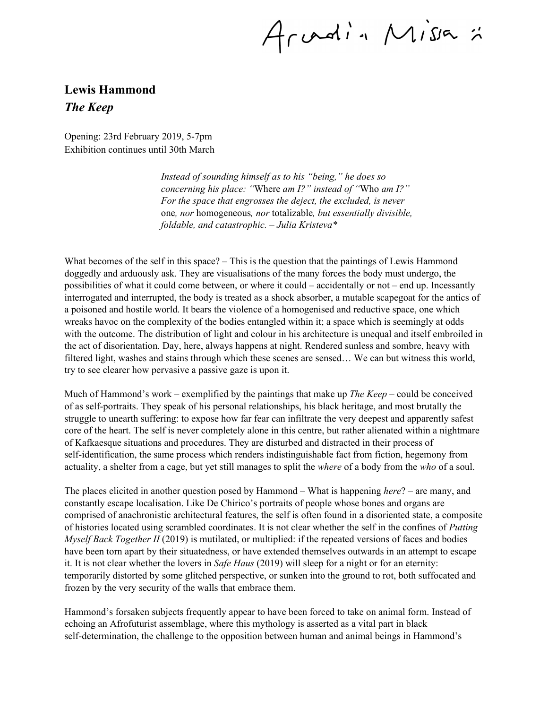Arvadin Missa :

## **Lewis Hammond** *The Keep*

Opening: 23rd February 2019, 5-7pm Exhibition continues until 30th March

> *Instead of sounding himself as to his "being," he does so concerning his place: "*Where *am I?" instead of "*Who *am I?" For the space that engrosses the deject, the excluded, is never* one*, nor* homogeneous*, nor* totalizable*, but essentially divisible, foldable, and catastrophic. – Julia Kristeva\**

What becomes of the self in this space? – This is the question that the paintings of Lewis Hammond doggedly and arduously ask. They are visualisations of the many forces the body must undergo, the possibilities of what it could come between, or where it could – accidentally or not – end up. Incessantly interrogated and interrupted, the body is treated as a shock absorber, a mutable scapegoat for the antics of a poisoned and hostile world. It bears the violence of a homogenised and reductive space, one which wreaks havoc on the complexity of the bodies entangled within it; a space which is seemingly at odds with the outcome. The distribution of light and colour in his architecture is unequal and itself embroiled in the act of disorientation. Day, here, always happens at night. Rendered sunless and sombre, heavy with filtered light, washes and stains through which these scenes are sensed… We can but witness this world, try to see clearer how pervasive a passive gaze is upon it.

Much of Hammond's work – exemplified by the paintings that make up *The Keep –* could be conceived of as self-portraits. They speak of his personal relationships, his black heritage, and most brutally the struggle to unearth suffering: to expose how far fear can infiltrate the very deepest and apparently safest core of the heart. The self is never completely alone in this centre, but rather alienated within a nightmare of Kafkaesque situations and procedures. They are disturbed and distracted in their process of self-identification, the same process which renders indistinguishable fact from fiction, hegemony from actuality, a shelter from a cage, but yet still manages to split the *where* of a body from the *who* of a soul.

The places elicited in another question posed by Hammond – What is happening *here*? – are many, and constantly escape localisation. Like De Chirico's portraits of people whose bones and organs are comprised of anachronistic architectural features, the self is often found in a disoriented state, a composite of histories located using scrambled coordinates. It is not clear whether the self in the confines of *Putting Myself Back Together II* (2019) is mutilated, or multiplied: if the repeated versions of faces and bodies have been torn apart by their situatedness, or have extended themselves outwards in an attempt to escape it. It is not clear whether the lovers in *Safe Haus* (2019) will sleep for a night or for an eternity: temporarily distorted by some glitched perspective, or sunken into the ground to rot, both suffocated and frozen by the very security of the walls that embrace them.

Hammond's forsaken subjects frequently appear to have been forced to take on animal form. Instead of echoing an Afrofuturist assemblage, where this mythology is asserted as a vital part in black self-determination, the challenge to the opposition between human and animal beings in Hammond's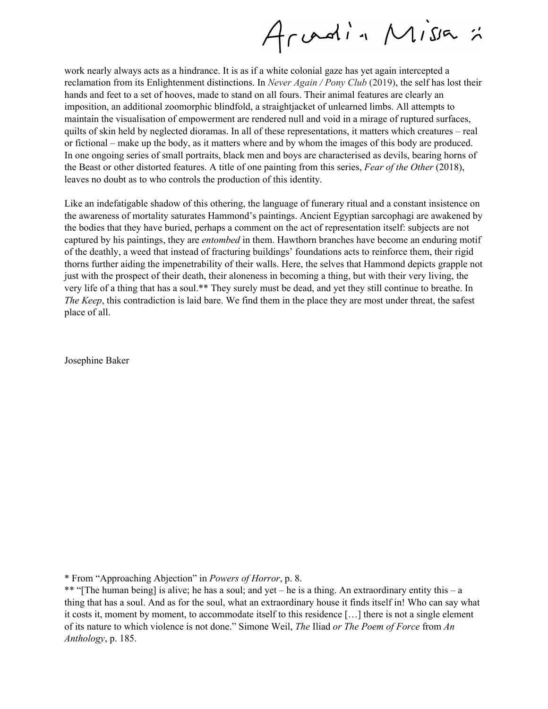Arvadin Missa :

work nearly always acts as a hindrance. It is as if a white colonial gaze has yet again intercepted a reclamation from its Enlightenment distinctions. In *Never Again / Pony Club* (2019), the self has lost their hands and feet to a set of hooves, made to stand on all fours. Their animal features are clearly an imposition, an additional zoomorphic blindfold, a straightjacket of unlearned limbs. All attempts to maintain the visualisation of empowerment are rendered null and void in a mirage of ruptured surfaces, quilts of skin held by neglected dioramas. In all of these representations, it matters which creatures – real or fictional – make up the body, as it matters where and by whom the images of this body are produced. In one ongoing series of small portraits, black men and boys are characterised as devils, bearing horns of the Beast or other distorted features. A title of one painting from this series, *Fear of the Other* (2018), leaves no doubt as to who controls the production of this identity.

Like an indefatigable shadow of this othering, the language of funerary ritual and a constant insistence on the awareness of mortality saturates Hammond's paintings. Ancient Egyptian sarcophagi are awakened by the bodies that they have buried, perhaps a comment on the act of representation itself: subjects are not captured by his paintings, they are *entombed* in them. Hawthorn branches have become an enduring motif of the deathly, a weed that instead of fracturing buildings' foundations acts to reinforce them, their rigid thorns further aiding the impenetrability of their walls. Here, the selves that Hammond depicts grapple not just with the prospect of their death, their aloneness in becoming a thing, but with their very living, the very life of a thing that has a soul.\*\* They surely must be dead, and yet they still continue to breathe. In *The Keep*, this contradiction is laid bare. We find them in the place they are most under threat, the safest place of all.

Josephine Baker

\* From "Approaching Abjection" in *Powers of Horror*, p. 8.

\*\* "[The human being] is alive; he has a soul; and yet – he is a thing. An extraordinary entity this – a thing that has a soul. And as for the soul, what an extraordinary house it finds itself in! Who can say what it costs it, moment by moment, to accommodate itself to this residence […] there is not a single element of its nature to which violence is not done." Simone Weil, *The* Iliad *or The Poem of Force* from *An Anthology*, p. 185.